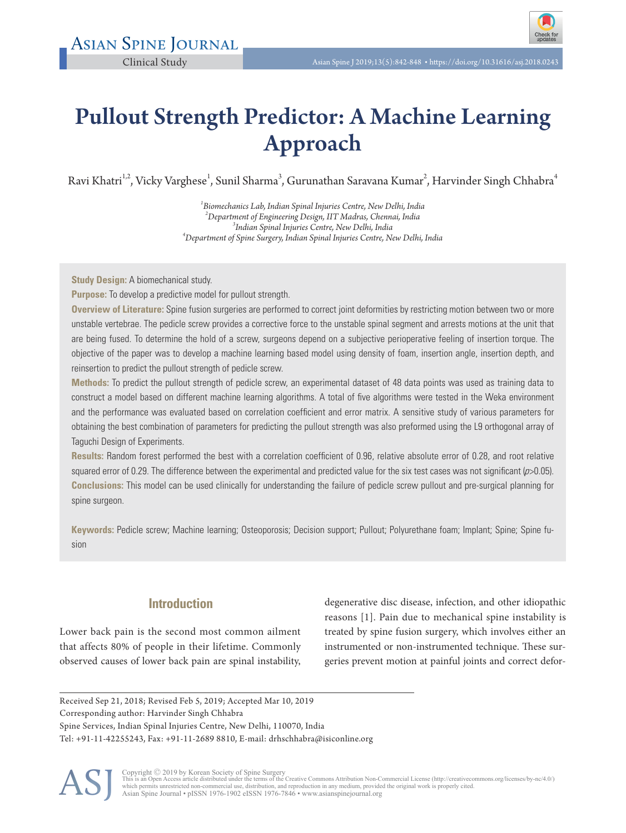

# Pullout Strength Predictor: A Machine Learning Approach

Ravi Khatri $^{1,2}$ , Vicky Varghese $^{1}$ , Sunil Sharma $^{3}$ , Gurunathan Saravana Kumar $^{2}$ , Harvinder Singh Chhabra $^{4}$ 

 *Biomechanics Lab, Indian Spinal Injuries Centre, New Delhi, India Department of Engineering Design, IIT Madras, Chennai, India Indian Spinal Injuries Centre, New Delhi, India Department of Spine Surgery, Indian Spinal Injuries Centre, New Delhi, India* 

**Study Design:** A biomechanical study.

**Purpose:** To develop a predictive model for pullout strength.

**Overview of Literature:** Spine fusion surgeries are performed to correct joint deformities by restricting motion between two or more unstable vertebrae. The pedicle screw provides a corrective force to the unstable spinal segment and arrests motions at the unit that are being fused. To determine the hold of a screw, surgeons depend on a subjective perioperative feeling of insertion torque. The objective of the paper was to develop a machine learning based model using density of foam, insertion angle, insertion depth, and reinsertion to predict the pullout strength of pedicle screw.

**Methods:** To predict the pullout strength of pedicle screw, an experimental dataset of 48 data points was used as training data to construct a model based on different machine learning algorithms. A total of five algorithms were tested in the Weka environment and the performance was evaluated based on correlation coefficient and error matrix. A sensitive study of various parameters for obtaining the best combination of parameters for predicting the pullout strength was also preformed using the L9 orthogonal array of Taguchi Design of Experiments.

**Results:** Random forest performed the best with a correlation coefficient of 0.96, relative absolute error of 0.28, and root relative squared error of 0.29. The difference between the experimental and predicted value for the six test cases was not significant  $(p>0.05)$ . **Conclusions:** This model can be used clinically for understanding the failure of pedicle screw pullout and pre-surgical planning for spine surgeon.

**Keywords:** Pedicle screw; Machine learning; Osteoporosis; Decision support; Pullout; Polyurethane foam; Implant; Spine; Spine fusion

# **Introduction**

Lower back pain is the second most common ailment that affects 80% of people in their lifetime. Commonly observed causes of lower back pain are spinal instability,

degenerative disc disease, infection, and other idiopathic reasons [1]. Pain due to mechanical spine instability is treated by spine fusion surgery, which involves either an instrumented or non-instrumented technique. These surgeries prevent motion at painful joints and correct defor-

Received Sep 21, 2018; Revised Feb 5, 2019; Accepted Mar 10, 2019 Corresponding author: Harvinder Singh Chhabra Spine Services, Indian Spinal Injuries Centre, New Delhi, 110070, India Tel: +91-11-42255243, Fax: +91-11-2689 8810, E-mail: drhschhabra@isiconline.org



Copyright © 2019 by Korean Society of Spine Surgery<br>This is an Open Access article distributed under the terms of the Creative Commons Attribution Non-Commercial License (http://creativecommons.org/licenses/by-nc/4.0/)<br>whi Asian Spine Journal • pISSN 1976-1902 eISSN 1976-7846 • www.asianspinejournal.org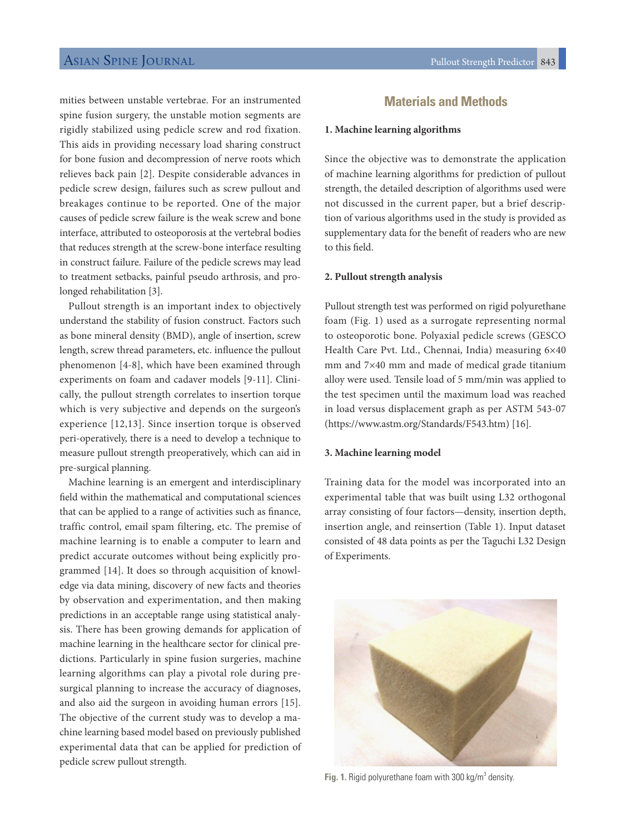# Asian Spine Journal

mities between unstable vertebrae. For an instrumented spine fusion surgery, the unstable motion segments are rigidly stabilized using pedicle screw and rod fixation. This aids in providing necessary load sharing construct for bone fusion and decompression of nerve roots which relieves back pain [2]. Despite considerable advances in pedicle screw design, failures such as screw pullout and breakages continue to be reported. One of the major causes of pedicle screw failure is the weak screw and bone interface, attributed to osteoporosis at the vertebral bodies that reduces strength at the screw-bone interface resulting in construct failure. Failure of the pedicle screws may lead to treatment setbacks, painful pseudo arthrosis, and prolonged rehabilitation [3].

Pullout strength is an important index to objectively understand the stability of fusion construct. Factors such as bone mineral density (BMD), angle of insertion, screw length, screw thread parameters, etc. influence the pullout phenomenon [4-8], which have been examined through experiments on foam and cadaver models [9-11]. Clinically, the pullout strength correlates to insertion torque which is very subjective and depends on the surgeon's experience [12,13]. Since insertion torque is observed peri-operatively, there is a need to develop a technique to measure pullout strength preoperatively, which can aid in pre-surgical planning.

Machine learning is an emergent and interdisciplinary field within the mathematical and computational sciences that can be applied to a range of activities such as finance, traffic control, email spam filtering, etc. The premise of machine learning is to enable a computer to learn and predict accurate outcomes without being explicitly programmed [14]. It does so through acquisition of knowledge via data mining, discovery of new facts and theories by observation and experimentation, and then making predictions in an acceptable range using statistical analysis. There has been growing demands for application of machine learning in the healthcare sector for clinical predictions. Particularly in spine fusion surgeries, machine learning algorithms can play a pivotal role during presurgical planning to increase the accuracy of diagnoses, and also aid the surgeon in avoiding human errors [15]. The objective of the current study was to develop a machine learning based model based on previously published experimental data that can be applied for prediction of pedicle screw pullout strength.

## **Materials and Methods**

#### **1. Machine learning algorithms**

Since the objective was to demonstrate the application of machine learning algorithms for prediction of pullout strength, the detailed description of algorithms used were not discussed in the current paper, but a brief description of various algorithms used in the study is provided as supplementary data for the benefit of readers who are new to this field.

#### **2. Pullout strength analysis**

Pullout strength test was performed on rigid polyurethane foam (Fig. 1) used as a surrogate representing normal to osteoporotic bone. Polyaxial pedicle screws (GESCO Health Care Pvt. Ltd., Chennai, India) measuring 6×40 mm and 7×40 mm and made of medical grade titanium alloy were used. Tensile load of 5 mm/min was applied to the test specimen until the maximum load was reached in load versus displacement graph as per ASTM 543-07 (https://www.astm.org/Standards/F543.htm) [16].

#### **3. Machine learning model**

Training data for the model was incorporated into an experimental table that was built using L32 orthogonal array consisting of four factors—density, insertion depth, insertion angle, and reinsertion (Table 1). Input dataset consisted of 48 data points as per the Taguchi L32 Design of Experiments.



Fig. 1. Rigid polyurethane foam with 300 kg/m<sup>3</sup> density.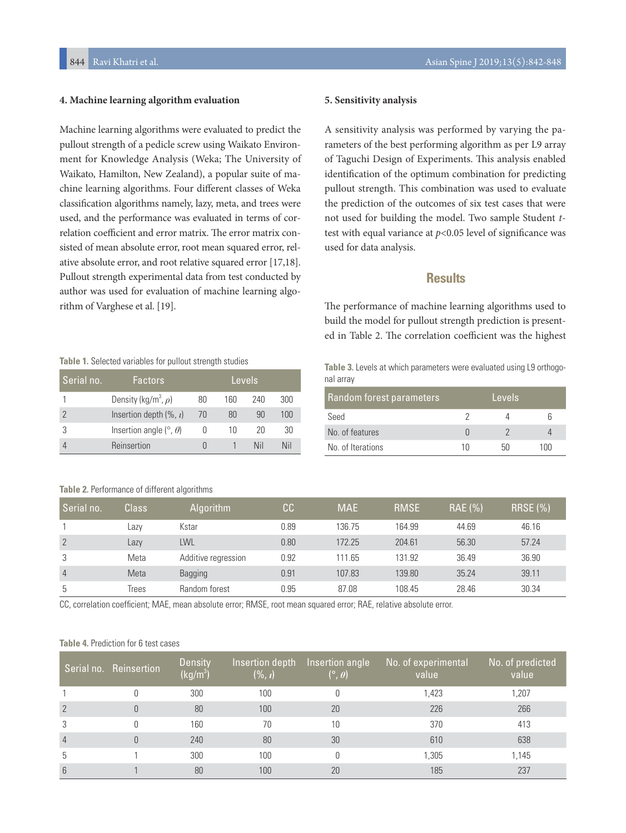## **4. Machine learning algorithm evaluation**

Machine learning algorithms were evaluated to predict the pullout strength of a pedicle screw using Waikato Environment for Knowledge Analysis (Weka; The University of Waikato, Hamilton, New Zealand), a popular suite of machine learning algorithms. Four different classes of Weka classification algorithms namely, lazy, meta, and trees were used, and the performance was evaluated in terms of correlation coefficient and error matrix. The error matrix consisted of mean absolute error, root mean squared error, relative absolute error, and root relative squared error [17,18]. Pullout strength experimental data from test conducted by author was used for evaluation of machine learning algorithm of Varghese et al. [19].

#### **Table 1.** Selected variables for pullout strength studies

| Serial no. | <b>Factors</b>                        | Levels |     |     |     |
|------------|---------------------------------------|--------|-----|-----|-----|
|            | Density (kg/m <sup>3</sup> , $\rho$ ) | 80     | 160 | 240 | 300 |
|            | Insertion depth $(\% , \iota)$        | 70     | 80  | 90  | 100 |
|            | Insertion angle $(^\circ, \theta)$    | $\Box$ | 10  | 20  | 30  |
|            | Reinsertion                           |        |     | Nil | Nil |

#### **Table 2.** Performance of different algorithms

#### **5. Sensitivity analysis**

A sensitivity analysis was performed by varying the parameters of the best performing algorithm as per L9 array of Taguchi Design of Experiments. This analysis enabled identification of the optimum combination for predicting pullout strength. This combination was used to evaluate the prediction of the outcomes of six test cases that were not used for building the model. Two sample Student ttest with equal variance at  $p<0.05$  level of significance was used for data analysis.

## **Results**

The performance of machine learning algorithms used to build the model for pullout strength prediction is presented in Table 2. The correlation coefficient was the highest

**Table 3.** Levels at which parameters were evaluated using L9 orthogonal array

| Random forest parameters |        | Levels |       |
|--------------------------|--------|--------|-------|
| Seed                     |        |        | 6     |
| No. of features          | $\Box$ |        |       |
| No. of Iterations        | 11     | 50     | 1 N N |

| Serial no.     | Class | Algorithm           | cc   | <b>MAE</b> | <b>RMSE</b> | <b>RAE</b> (%) | <b>RRSE (%)</b> |
|----------------|-------|---------------------|------|------------|-------------|----------------|-----------------|
|                | Lazv  | Kstar               | 0.89 | 136.75     | 164.99      | 44.69          | 46.16           |
| 2              | Lazy  | LWL                 | 0.80 | 172.25     | 204.61      | 56.30          | 57.24           |
| 3              | Meta  | Additive regression | 0.92 | 111.65     | 131.92      | 36.49          | 36.90           |
| $\overline{4}$ | Meta  | <b>Bagging</b>      | 0.91 | 107.83     | 139.80      | 35.24          | 39.11           |
| 5              | Trees | Random forest       | 0.95 | 87.08      | 108.45      | 28.46          | 30.34           |

CC, correlation coefficient; MAE, mean absolute error; RMSE, root mean squared error; RAE, relative absolute error.

## **Table 4.** Prediction for 6 test cases

|                 | Serial no. Reinsertion | <b>Density</b><br>$\text{(kg/m}^3)$ | Insertion depth<br>$($ %, $l)$ | Insertion angle<br>$(^\circ, \theta)$ | No. of experimental<br>value | No. of predicted<br>value |
|-----------------|------------------------|-------------------------------------|--------------------------------|---------------------------------------|------------------------------|---------------------------|
|                 | 0                      | 300                                 | 100                            |                                       | 1,423                        | 1,207                     |
| 2               | $\theta$               | 80                                  | 100                            | 20                                    | 226                          | 266                       |
| 3               | 0                      | 160                                 | 70                             | 10                                    | 370                          | 413                       |
| $\overline{4}$  | $\theta$               | 240                                 | 80                             | 30                                    | 610                          | 638                       |
| 5               |                        | 300                                 | 100                            |                                       | 1,305                        | 1,145                     |
| $6\phantom{1}6$ |                        | 80                                  | 100                            | 20                                    | 185                          | 237                       |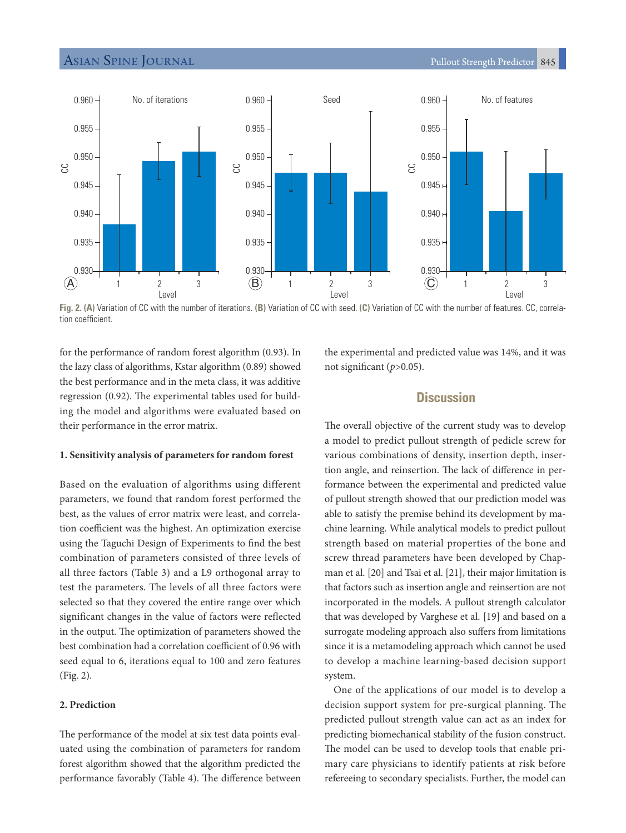# Asian Spine Journal



**Fig. 2. (A)** Variation of CC with the number of iterations. **(B)** Variation of CC with seed. **(C)** Variation of CC with the number of features. CC, correlation coefficient.

for the performance of random forest algorithm (0.93). In the lazy class of algorithms, Kstar algorithm (0.89) showed the best performance and in the meta class, it was additive regression (0.92). The experimental tables used for building the model and algorithms were evaluated based on their performance in the error matrix.

#### **1. Sensitivity analysis of parameters for random forest**

Based on the evaluation of algorithms using different parameters, we found that random forest performed the best, as the values of error matrix were least, and correlation coefficient was the highest. An optimization exercise using the Taguchi Design of Experiments to find the best combination of parameters consisted of three levels of all three factors (Table 3) and a L9 orthogonal array to test the parameters. The levels of all three factors were selected so that they covered the entire range over which significant changes in the value of factors were reflected in the output. The optimization of parameters showed the best combination had a correlation coefficient of 0.96 with seed equal to 6, iterations equal to 100 and zero features (Fig. 2).

## **2. Prediction**

The performance of the model at six test data points evaluated using the combination of parameters for random forest algorithm showed that the algorithm predicted the performance favorably (Table 4). The difference between the experimental and predicted value was 14%, and it was not significant  $(p>0.05)$ .

## **Discussion**

The overall objective of the current study was to develop a model to predict pullout strength of pedicle screw for various combinations of density, insertion depth, insertion angle, and reinsertion. The lack of difference in performance between the experimental and predicted value of pullout strength showed that our prediction model was able to satisfy the premise behind its development by machine learning. While analytical models to predict pullout strength based on material properties of the bone and screw thread parameters have been developed by Chapman et al. [20] and Tsai et al. [21], their major limitation is that factors such as insertion angle and reinsertion are not incorporated in the models. A pullout strength calculator that was developed by Varghese et al. [19] and based on a surrogate modeling approach also suffers from limitations since it is a metamodeling approach which cannot be used to develop a machine learning-based decision support system.

One of the applications of our model is to develop a decision support system for pre-surgical planning. The predicted pullout strength value can act as an index for predicting biomechanical stability of the fusion construct. The model can be used to develop tools that enable primary care physicians to identify patients at risk before refereeing to secondary specialists. Further, the model can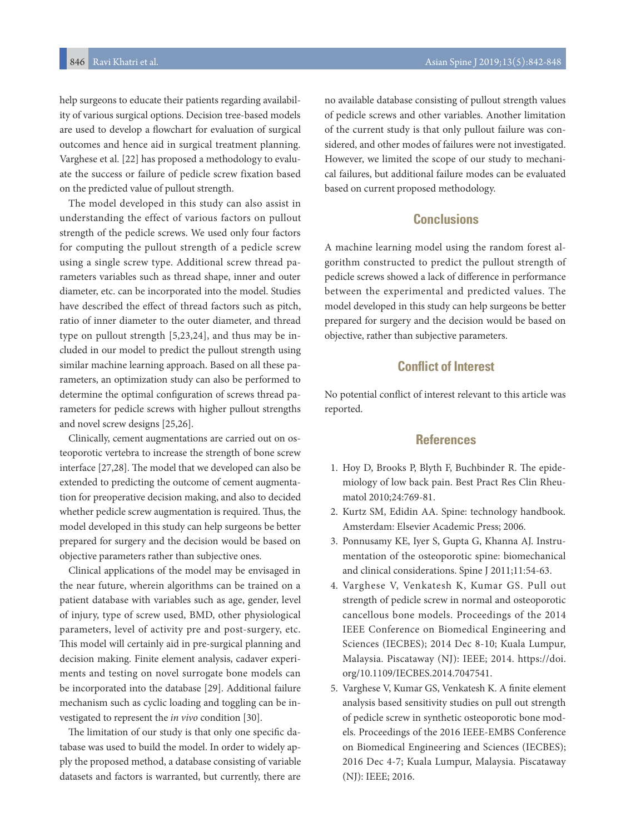help surgeons to educate their patients regarding availability of various surgical options. Decision tree-based models are used to develop a flowchart for evaluation of surgical outcomes and hence aid in surgical treatment planning. Varghese et al. [22] has proposed a methodology to evaluate the success or failure of pedicle screw fixation based on the predicted value of pullout strength.

The model developed in this study can also assist in understanding the effect of various factors on pullout strength of the pedicle screws. We used only four factors for computing the pullout strength of a pedicle screw using a single screw type. Additional screw thread parameters variables such as thread shape, inner and outer diameter, etc. can be incorporated into the model. Studies have described the effect of thread factors such as pitch, ratio of inner diameter to the outer diameter, and thread type on pullout strength [5,23,24], and thus may be included in our model to predict the pullout strength using similar machine learning approach. Based on all these parameters, an optimization study can also be performed to determine the optimal configuration of screws thread parameters for pedicle screws with higher pullout strengths and novel screw designs [25,26].

Clinically, cement augmentations are carried out on osteoporotic vertebra to increase the strength of bone screw interface [27,28]. The model that we developed can also be extended to predicting the outcome of cement augmentation for preoperative decision making, and also to decided whether pedicle screw augmentation is required. Thus, the model developed in this study can help surgeons be better prepared for surgery and the decision would be based on objective parameters rather than subjective ones.

Clinical applications of the model may be envisaged in the near future, wherein algorithms can be trained on a patient database with variables such as age, gender, level of injury, type of screw used, BMD, other physiological parameters, level of activity pre and post-surgery, etc. This model will certainly aid in pre-surgical planning and decision making. Finite element analysis, cadaver experiments and testing on novel surrogate bone models can be incorporated into the database [29]. Additional failure mechanism such as cyclic loading and toggling can be investigated to represent the in vivo condition [30].

The limitation of our study is that only one specific database was used to build the model. In order to widely apply the proposed method, a database consisting of variable datasets and factors is warranted, but currently, there are

no available database consisting of pullout strength values of pedicle screws and other variables. Another limitation of the current study is that only pullout failure was considered, and other modes of failures were not investigated. However, we limited the scope of our study to mechanical failures, but additional failure modes can be evaluated based on current proposed methodology.

## **Conclusions**

A machine learning model using the random forest algorithm constructed to predict the pullout strength of pedicle screws showed a lack of difference in performance between the experimental and predicted values. The model developed in this study can help surgeons be better prepared for surgery and the decision would be based on objective, rather than subjective parameters.

## **Conflict of Interest**

No potential conflict of interest relevant to this article was reported.

## **References**

- 1. Hoy D, Brooks P, Blyth F, Buchbinder R. The epidemiology of low back pain. Best Pract Res Clin Rheumatol 2010;24:769-81.
- 2. Kurtz SM, Edidin AA. Spine: technology handbook. Amsterdam: Elsevier Academic Press; 2006.
- 3. Ponnusamy KE, Iyer S, Gupta G, Khanna AJ. Instrumentation of the osteoporotic spine: biomechanical and clinical considerations. Spine J 2011;11:54-63.
- 4. Varghese V, Venkatesh K, Kumar GS. Pull out strength of pedicle screw in normal and osteoporotic cancellous bone models. Proceedings of the 2014 IEEE Conference on Biomedical Engineering and Sciences (IECBES); 2014 Dec 8-10; Kuala Lumpur, Malaysia. Piscataway (NJ): IEEE; 2014. https://doi. org/10.1109/IECBES.2014.7047541.
- 5. Varghese V, Kumar GS, Venkatesh K. A finite element analysis based sensitivity studies on pull out strength of pedicle screw in synthetic osteoporotic bone models. Proceedings of the 2016 IEEE-EMBS Conference on Biomedical Engineering and Sciences (IECBES); 2016 Dec 4-7; Kuala Lumpur, Malaysia. Piscataway (NJ): IEEE; 2016.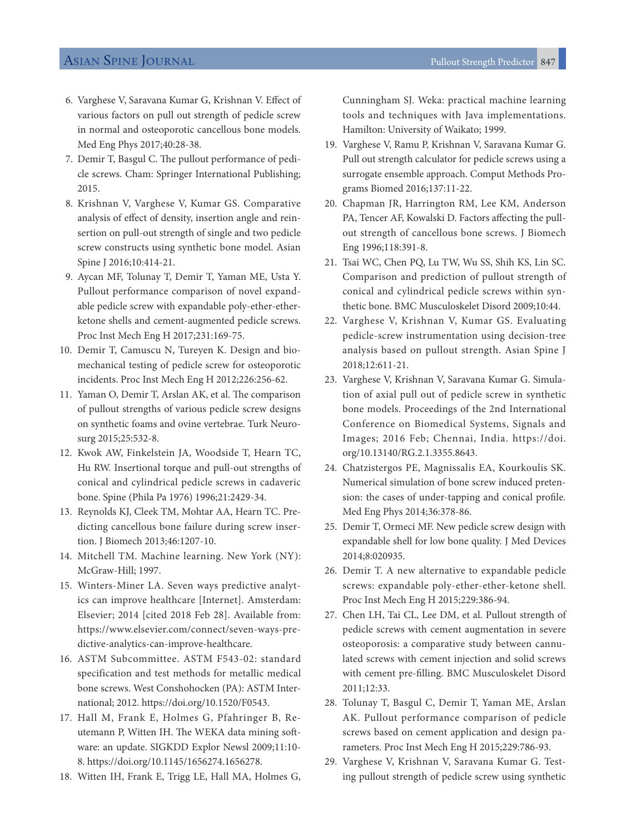- 6. Varghese V, Saravana Kumar G, Krishnan V. Effect of various factors on pull out strength of pedicle screw in normal and osteoporotic cancellous bone models. Med Eng Phys 2017;40:28-38.
- 7. Demir T, Basgul C. The pullout performance of pedicle screws. Cham: Springer International Publishing; 2015.
- 8. Krishnan V, Varghese V, Kumar GS. Comparative analysis of effect of density, insertion angle and reinsertion on pull-out strength of single and two pedicle screw constructs using synthetic bone model. Asian Spine J 2016;10:414-21.
- 9. Aycan MF, Tolunay T, Demir T, Yaman ME, Usta Y. Pullout performance comparison of novel expandable pedicle screw with expandable poly-ether-etherketone shells and cement-augmented pedicle screws. Proc Inst Mech Eng H 2017;231:169-75.
- 10. Demir T, Camuscu N, Tureyen K. Design and biomechanical testing of pedicle screw for osteoporotic incidents. Proc Inst Mech Eng H 2012;226:256-62.
- 11. Yaman O, Demir T, Arslan AK, et al. The comparison of pullout strengths of various pedicle screw designs on synthetic foams and ovine vertebrae. Turk Neurosurg 2015;25:532-8.
- 12. Kwok AW, Finkelstein JA, Woodside T, Hearn TC, Hu RW. Insertional torque and pull-out strengths of conical and cylindrical pedicle screws in cadaveric bone. Spine (Phila Pa 1976) 1996;21:2429-34.
- 13. Reynolds KJ, Cleek TM, Mohtar AA, Hearn TC. Predicting cancellous bone failure during screw insertion. J Biomech 2013;46:1207-10.
- 14. Mitchell TM. Machine learning. New York (NY): McGraw-Hill; 1997.
- 15. Winters-Miner LA. Seven ways predictive analytics can improve healthcare [Internet]. Amsterdam: Elsevier; 2014 [cited 2018 Feb 28]. Available from: https://www.elsevier.com/connect/seven-ways-predictive-analytics-can-improve-healthcare.
- 16. ASTM Subcommittee. ASTM F543-02: standard specification and test methods for metallic medical bone screws. West Conshohocken (PA): ASTM International; 2012. https://doi.org/10.1520/F0543.
- 17. Hall M, Frank E, Holmes G, Pfahringer B, Reutemann P, Witten IH. The WEKA data mining software: an update. SIGKDD Explor Newsl 2009;11:10- 8. https://doi.org/10.1145/1656274.1656278.
- 18. Witten IH, Frank E, Trigg LE, Hall MA, Holmes G,

Cunningham SJ. Weka: practical machine learning tools and techniques with Java implementations. Hamilton: University of Waikato; 1999.

- 19. Varghese V, Ramu P, Krishnan V, Saravana Kumar G. Pull out strength calculator for pedicle screws using a surrogate ensemble approach. Comput Methods Programs Biomed 2016;137:11-22.
- 20. Chapman JR, Harrington RM, Lee KM, Anderson PA, Tencer AF, Kowalski D. Factors affecting the pullout strength of cancellous bone screws. J Biomech Eng 1996;118:391-8.
- 21. Tsai WC, Chen PQ, Lu TW, Wu SS, Shih KS, Lin SC. Comparison and prediction of pullout strength of conical and cylindrical pedicle screws within synthetic bone. BMC Musculoskelet Disord 2009;10:44.
- 22. Varghese V, Krishnan V, Kumar GS. Evaluating pedicle-screw instrumentation using decision-tree analysis based on pullout strength. Asian Spine J 2018;12:611-21.
- 23. Varghese V, Krishnan V, Saravana Kumar G. Simulation of axial pull out of pedicle screw in synthetic bone models. Proceedings of the 2nd International Conference on Biomedical Systems, Signals and Images; 2016 Feb; Chennai, India. https://doi. org/10.13140/RG.2.1.3355.8643.
- 24. Chatzistergos PE, Magnissalis EA, Kourkoulis SK. Numerical simulation of bone screw induced pretension: the cases of under-tapping and conical profile. Med Eng Phys 2014;36:378-86.
- 25. Demir T, Ormeci MF. New pedicle screw design with expandable shell for low bone quality. J Med Devices 2014;8:020935.
- 26. Demir T. A new alternative to expandable pedicle screws: expandable poly-ether-ether-ketone shell. Proc Inst Mech Eng H 2015;229:386-94.
- 27. Chen LH, Tai CL, Lee DM, et al. Pullout strength of pedicle screws with cement augmentation in severe osteoporosis: a comparative study between cannulated screws with cement injection and solid screws with cement pre-filling. BMC Musculoskelet Disord 2011;12:33.
- 28. Tolunay T, Basgul C, Demir T, Yaman ME, Arslan AK. Pullout performance comparison of pedicle screws based on cement application and design parameters. Proc Inst Mech Eng H 2015;229:786-93.
- 29. Varghese V, Krishnan V, Saravana Kumar G. Testing pullout strength of pedicle screw using synthetic